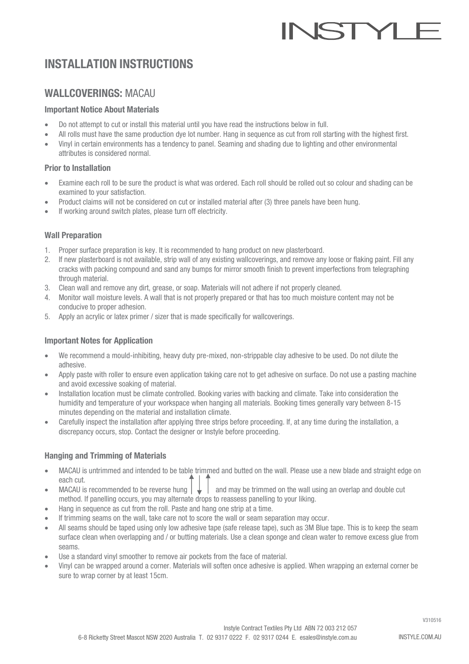# **ISTY**

# INSTALLATION INSTRUCTIONS

# WALLCOVERINGS: MACAU

## Important Notice About Materials

- Do not attempt to cut or install this material until you have read the instructions below in full.
- All rolls must have the same production dye lot number. Hang in sequence as cut from roll starting with the highest first.
- Vinyl in certain environments has a tendency to panel. Seaming and shading due to lighting and other environmental attributes is considered normal.

## Prior to Installation

- Examine each roll to be sure the product is what was ordered. Each roll should be rolled out so colour and shading can be examined to your satisfaction.
- Product claims will not be considered on cut or installed material after (3) three panels have been hung.
- If working around switch plates, please turn off electricity.

## Wall Preparation

- 1. Proper surface preparation is key. It is recommended to hang product on new plasterboard.
- 2. If new plasterboard is not available, strip wall of any existing wallcoverings, and remove any loose or flaking paint. Fill any cracks with packing compound and sand any bumps for mirror smooth finish to prevent imperfections from telegraphing through material.
- 3. Clean wall and remove any dirt, grease, or soap. Materials will not adhere if not properly cleaned.
- 4. Monitor wall moisture levels. A wall that is not properly prepared or that has too much moisture content may not be conducive to proper adhesion.
- 5. Apply an acrylic or latex primer / sizer that is made specifically for wallcoverings.

## Important Notes for Application

- We recommend a mould-inhibiting, heavy duty pre-mixed, non-strippable clay adhesive to be used. Do not dilute the adhesive.
- Apply paste with roller to ensure even application taking care not to get adhesive on surface. Do not use a pasting machine and avoid excessive soaking of material.
- Installation location must be climate controlled. Booking varies with backing and climate. Take into consideration the humidity and temperature of your workspace when hanging all materials. Booking times generally vary between 8-15 minutes depending on the material and installation climate.
- Carefully inspect the installation after applying three strips before proceeding. If, at any time during the installation, a discrepancy occurs, stop. Contact the designer or Instyle before proceeding.

# Hanging and Trimming of Materials

- MACAU is untrimmed and intended to be table trimmed and butted on the wall. Please use a new blade and straight edge on each cut.
- MACAU is recommended to be reverse hung  $\|\downarrow\|$  and may be trimmed on the wall using an overlap and double cut method. If panelling occurs, you may alternate drops to reassess panelling to your liking.
- Hang in sequence as cut from the roll. Paste and hang one strip at a time.
- If trimming seams on the wall, take care not to score the wall or seam separation may occur.
- All seams should be taped using only low adhesive tape (safe release tape), such as 3M Blue tape. This is to keep the seam surface clean when overlapping and / or butting materials. Use a clean sponge and clean water to remove excess glue from seams.
- Use a standard vinyl smoother to remove air pockets from the face of material.
- Vinyl can be wrapped around a corner. Materials will soften once adhesive is applied. When wrapping an external corner be sure to wrap corner by at least 15cm.